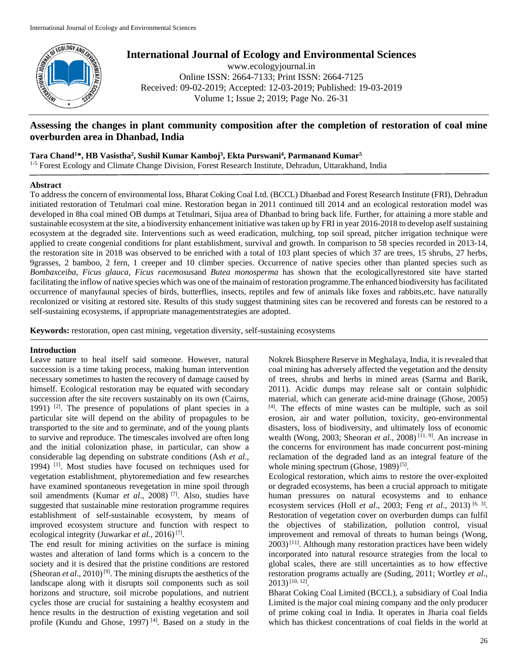

**International Journal of Ecology and Environmental Sciences**

www.ecologyjournal.in Online ISSN: 2664-7133; Print ISSN: 2664-7125 Received: 09-02-2019; Accepted: 12-03-2019; Published: 19-03-2019 Volume 1; Issue 2; 2019; Page No. 26-31

# **Assessing the changes in plant community composition after the completion of restoration of coal mine overburden area in Dhanbad, India**

# **Tara Chand<sup>1</sup>\*, HB Vasistha<sup>2</sup> , Sushil Kumar Kamboj<sup>3</sup> , Ekta Purswani<sup>4</sup> , Parmanand Kumar<sup>5</sup>**

<sup>1-5</sup> Forest Ecology and Climate Change Division, Forest Research Institute, Dehradun, Uttarakhand, India

# **Abstract**

To address the concern of environmental loss, Bharat Coking Coal Ltd. (BCCL) Dhanbad and Forest Research Institute (FRI), Dehradun initiated restoration of Tetulmari coal mine. Restoration began in 2011 continued till 2014 and an ecological restoration model was developed in 8ha coal mined OB dumps at Tetulmari, Sijua area of Dhanbad to bring back life. Further, for attaining a more stable and sustainable ecosystem at the site, a biodiversity enhancement initiative was taken up by FRI in year 2016-2018 to develop aself sustaining ecosystem at the degraded site. Interventions such as weed eradication, mulching, top soil spread, pitcher irrigation technique were applied to create congenial conditions for plant establishment, survival and growth. In comparison to 58 species recorded in 2013-14, the restoration site in 2018 was observed to be enriched with a total of 103 plant species of which 37 are trees, 15 shrubs, 27 herbs, 9grasses, 2 bamboo, 2 fern, 1 creeper and 10 climber species. Occurrence of native species other than planted species such as *Bombaxceiba*, *Ficus glauca*, *Ficus racemosus*and *Butea monosperma* has shown that the ecologicallyrestored site have started facilitating the inflow of native species which was one of the mainaim of restoration programme.The enhanced biodiversity has facilitated occurrence of manyfaunal species of birds, butterflies, insects, reptiles and few of animals like foxes and rabbits,etc. have naturally recolonized or visiting at restored site. Results of this study suggest thatmining sites can be recovered and forests can be restored to a self-sustaining ecosystems, if appropriate managementstrategies are adopted.

**Keywords:** restoration, open cast mining, vegetation diversity, self-sustaining ecosystems

# **Introduction**

Leave nature to heal itself said someone. However, natural succession is a time taking process, making human intervention necessary sometimes to hasten the recovery of damage caused by himself. Ecological restoration may be equated with secondary succession after the site recovers sustainably on its own (Cairns, 1991) [2]. The presence of populations of plant species in a particular site will depend on the ability of propagules to be transported to the site and to germinate, and of the young plants to survive and reproduce. The timescales involved are often long and the initial colonization phase, in particular, can show a considerable lag depending on substrate conditions (Ash *et al.,* 1994) [1] . Most studies have focused on techniques used for vegetation establishment, phytoremediation and few researches have examined spontaneous revegetation in mine spoil through soil amendments (Kumar *et al*., 2008) [7]. Also, studies have suggested that sustainable mine restoration programme requires establishment of self-sustainable ecosystem, by means of improved ecosystem structure and function with respect to ecological integrity (Juwarkar *et al.*, 2016)<sup>[7]</sup>.

The end result for mining activities on the surface is mining wastes and alteration of land forms which is a concern to the society and it is desired that the pristine conditions are restored (Sheoran *et al.*, 2010)<sup>[9]</sup>. The mining disrupts the aesthetics of the landscape along with it disrupts soil components such as soil horizons and structure, soil microbe populations, and nutrient cycles those are crucial for sustaining a healthy ecosystem and hence results in the destruction of existing vegetation and soil profile (Kundu and Ghose, 1997)<sup>[4]</sup>. Based on a study in the

Nokrek Biosphere Reserve in Meghalaya, India, it is revealed that coal mining has adversely affected the vegetation and the density of trees, shrubs and herbs in mined areas (Sarma and Barik, 2011). Acidic dumps may release salt or contain sulphidic material, which can generate acid-mine drainage (Ghose, 2005) [4]. The effects of mine wastes can be multiple, such as soil erosion, air and water pollution, toxicity, geo-environmental disasters, loss of biodiversity, and ultimately loss of economic wealth (Wong, 2003; Sheoran *et al.*, 2008)<sup>[11, 9]</sup>. An increase in the concerns for environment has made concurrent post-mining reclamation of the degraded land as an integral feature of the whole mining spectrum (Ghose, 1989)<sup>[5]</sup>.

Ecological restoration, which aims to restore the over-exploited or degraded ecosystems, has been a crucial approach to mitigate human pressures on natural ecosystems and to enhance ecosystem services (Holl *et al.*, 2003; Feng *et al.*, 2013)<sup>[6, 3]</sup>. Restoration of vegetation cover on overburden dumps can fulfil the objectives of stabilization, pollution control, visual improvement and removal of threats to human beings (Wong,  $2003$ <sup>[11]</sup>. Although many restoration practices have been widely incorporated into natural resource strategies from the local to global scales, there are still uncertainties as to how effective restoration programs actually are (Suding, 2011; Wortley *et al*., 2013)[10, 12] .

Bharat Coking Coal Limited (BCCL), a subsidiary of Coal India Limited is the major coal mining company and the only producer of prime coking coal in India. It operates in Jharia coal fields which has thickest concentrations of coal fields in the world at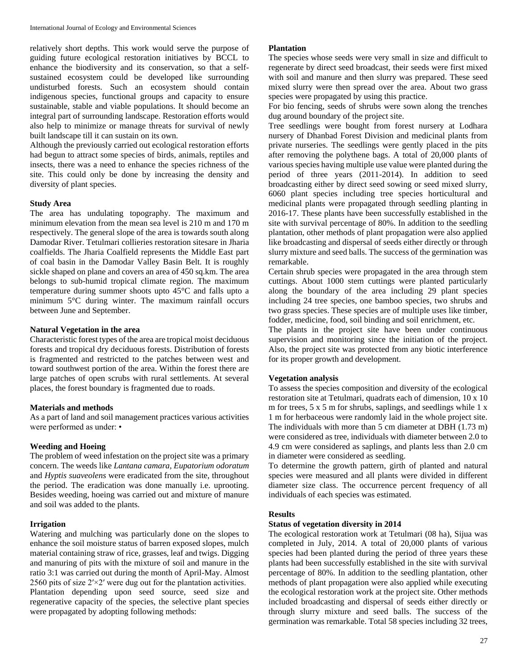relatively short depths. This work would serve the purpose of guiding future ecological restoration initiatives by BCCL to enhance the biodiversity and its conservation, so that a selfsustained ecosystem could be developed like surrounding undisturbed forests. Such an ecosystem should contain indigenous species, functional groups and capacity to ensure sustainable, stable and viable populations. It should become an integral part of surrounding landscape. Restoration efforts would also help to minimize or manage threats for survival of newly built landscape till it can sustain on its own.

Although the previously carried out ecological restoration efforts had begun to attract some species of birds, animals, reptiles and insects, there was a need to enhance the species richness of the site. This could only be done by increasing the density and diversity of plant species.

# **Study Area**

The area has undulating topography. The maximum and minimum elevation from the mean sea level is 210 m and 170 m respectively. The general slope of the area is towards south along Damodar River. Tetulmari collieries restoration sitesare in Jharia coalfields. The Jharia Coalfield represents the Middle East part of coal basin in the Damodar Valley Basin Belt. It is roughly sickle shaped on plane and covers an area of 450 sq.km. The area belongs to sub-humid tropical climate region. The maximum temperature during summer shoots upto 45°C and falls upto a minimum 5°C during winter. The maximum rainfall occurs between June and September.

#### **Natural Vegetation in the area**

Characteristic forest types of the area are tropical moist deciduous forests and tropical dry deciduous forests. Distribution of forests is fragmented and restricted to the patches between west and toward southwest portion of the area. Within the forest there are large patches of open scrubs with rural settlements. At several places, the forest boundary is fragmented due to roads.

#### **Materials and methods**

As a part of land and soil management practices various activities were performed as under: •

# **Weeding and Hoeing**

The problem of weed infestation on the project site was a primary concern. The weeds like *Lantana camara, Eupatorium odoratum*  and *Hyptis suaveolens* were eradicated from the site, throughout the period. The eradication was done manually i.e. uprooting. Besides weeding, hoeing was carried out and mixture of manure and soil was added to the plants.

# **Irrigation**

Watering and mulching was particularly done on the slopes to enhance the soil moisture status of barren exposed slopes, mulch material containing straw of rice, grasses, leaf and twigs. Digging and manuring of pits with the mixture of soil and manure in the ratio 3:1 was carried out during the month of April-May. Almost 2560 pits of size  $2' \times 2'$  were dug out for the plantation activities. Plantation depending upon seed source, seed size and regenerative capacity of the species, the selective plant species were propagated by adopting following methods:

### **Plantation**

The species whose seeds were very small in size and difficult to regenerate by direct seed broadcast, their seeds were first mixed with soil and manure and then slurry was prepared. These seed mixed slurry were then spread over the area. About two grass species were propagated by using this practice.

For bio fencing, seeds of shrubs were sown along the trenches dug around boundary of the project site.

Tree seedlings were bought from forest nursery at Lodhara nursery of Dhanbad Forest Division and medicinal plants from private nurseries. The seedlings were gently placed in the pits after removing the polythene bags. A total of 20,000 plants of various species having multiple use value were planted during the period of three years (2011-2014). In addition to seed broadcasting either by direct seed sowing or seed mixed slurry, 6060 plant species including tree species horticultural and medicinal plants were propagated through seedling planting in 2016-17. These plants have been successfully established in the site with survival percentage of 80%. In addition to the seedling plantation, other methods of plant propagation were also applied like broadcasting and dispersal of seeds either directly or through slurry mixture and seed balls. The success of the germination was remarkable.

Certain shrub species were propagated in the area through stem cuttings. About 1000 stem cuttings were planted particularly along the boundary of the area including 29 plant species including 24 tree species, one bamboo species, two shrubs and two grass species. These species are of multiple uses like timber, fodder, medicine, food, soil binding and soil enrichment, etc.

The plants in the project site have been under continuous supervision and monitoring since the initiation of the project. Also, the project site was protected from any biotic interference for its proper growth and development.

#### **Vegetation analysis**

To assess the species composition and diversity of the ecological restoration site at Tetulmari, quadrats each of dimension, 10 x 10 m for trees, 5 x 5 m for shrubs, saplings, and seedlings while 1 x 1 m for herbaceous were randomly laid in the whole project site. The individuals with more than 5 cm diameter at DBH (1.73 m) were considered as tree, individuals with diameter between 2.0 to 4.9 cm were considered as saplings, and plants less than 2.0 cm in diameter were considered as seedling.

To determine the growth pattern, girth of planted and natural species were measured and all plants were divided in different diameter size class. The occurrence percent frequency of all individuals of each species was estimated.

#### **Results**

#### **Status of vegetation diversity in 2014**

The ecological restoration work at Tetulmari (08 ha), Sijua was completed in July, 2014. A total of 20,000 plants of various species had been planted during the period of three years these plants had been successfully established in the site with survival percentage of 80%. In addition to the seedling plantation, other methods of plant propagation were also applied while executing the ecological restoration work at the project site. Other methods included broadcasting and dispersal of seeds either directly or through slurry mixture and seed balls. The success of the germination was remarkable. Total 58 species including 32 trees,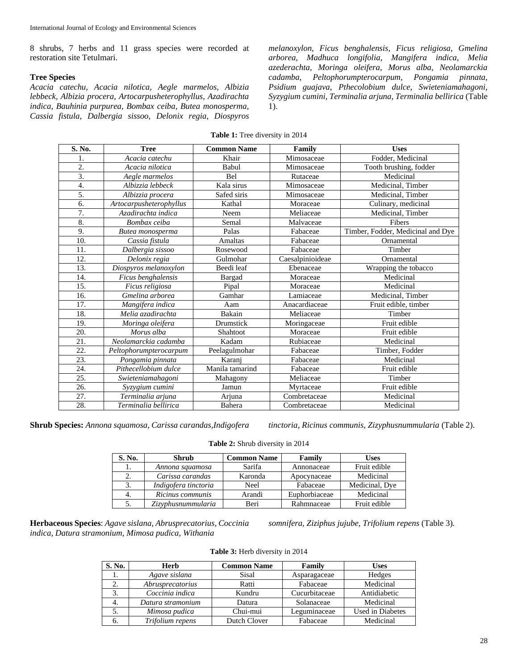8 shrubs, 7 herbs and 11 grass species were recorded at restoration site Tetulmari.

## **Tree Species**

*Acacia catechu, Acacia nilotica, Aegle marmelos, Albizia lebbeck, Albizia procera, Artocarpusheterophyllus, Azadirachta indica, Bauhinia purpurea, Bombax ceiba, Butea monosperma, Cassia fistula, Dalbergia sissoo, Delonix regia, Diospyros*  *melanoxylon, Ficus benghalensis, Ficus religiosa, Gmelina arborea, Madhuca longifolia, Mangifera indica, Melia azederachta, Moringa oleifera, Morus alba, Neolamarckia cadamba, Peltophorumpterocarpum, Pongamia pinnata, Psidium guajava, Pthecolobium dulce, Swieteniamahagoni, Syzygium cumini, Terminalia arjuna, Terminalia bellirica* (Table 1).

**Table 1:** Tree diversity in 2014

| S. No.           | <b>Tree</b>             | <b>Common Name</b> | Family           | <b>Uses</b>                       |
|------------------|-------------------------|--------------------|------------------|-----------------------------------|
|                  | Acacia catechu          | Khair              | Mimosaceae       | Fodder, Medicinal                 |
| 2.               | Acacia nilotica         | Babul              | Mimosaceae       | Tooth brushing, fodder            |
| 3.               | Aegle marmelos          | <b>Bel</b>         | Rutaceae         | Medicinal                         |
| $\overline{4}$ . | Albizzia lebbeck        | Kala sirus         | Mimosaceae       | Medicinal, Timber                 |
| 5.               | Albizzia procera        | Safed siris        | Mimosaceae       | Medicinal, Timber                 |
| 6.               | Artocarpusheterophyllus | Kathal             | Moraceae         | Culinary, medicinal               |
| 7.               | Azadirachta indica      | Neem               | Meliaceae        | Medicinal, Timber                 |
| 8.               | Bombax ceiba            | Semal              | Malvaceae        | Fibers                            |
| 9.               | Butea monosperma        | Palas              | Fabaceae         | Timber, Fodder, Medicinal and Dye |
| 10.              | Cassia fistula          | <b>Amaltas</b>     | Fabaceae         | Ornamental                        |
| 11.              | Dalbergia sissoo        | Rosewood           | Fabaceae         | Timber                            |
| 12.              | Delonix regia           | Gulmohar           | Caesalpinioideae | Ornamental                        |
| 13.              | Diospyros melanoxylon   | Beedi leaf         | Ebenaceae        | Wrapping the tobacco              |
| 14.              | Ficus benghalensis      | Bargad             | Moraceae         | Medicinal                         |
| 15.              | Ficus religiosa         | Pipal              | Moraceae         | Medicinal                         |
| 16.              | Gmelina arborea         | Gamhar             | Lamiaceae        | Medicinal, Timber                 |
| 17.              | Mangifera indica        | Aam                | Anacardiaceae    | Fruit edible, timber              |
| 18.              | Melia azadirachta       | Bakain             | Meliaceae        | Timber                            |
| 19.              | Moringa oleifera        | Drumstick          | Moringaceae      | Fruit edible                      |
| 20.              | Morus alba              | Shahtoot           | Moraceae         | Fruit edible                      |
| 21.              | Neolamarckia cadamba    | Kadam              | Rubiaceae        | Medicinal                         |
| 22.              | Peltophorumpterocarpum  | Peelagulmohar      | Fabaceae         | Timber, Fodder                    |
| 23.              | Pongamia pinnata        | Karanj             | Fabaceae         | Medicinal                         |
| 24.              | Pithecellobium dulce    | Manila tamarind    | Fabaceae         | Fruit edible                      |
| 25.              | Swieteniamahagoni       | Mahagony           | Meliaceae        | Timber                            |
| 26.              | Syzygium cumini         | Jamun              | Myrtaceae        | Fruit edible                      |
| 27.              | Terminalia arjuna       | Arjuna             | Combretaceae     | Medicinal                         |
| 28.              | Terminalia bellirica    | Bahera             | Combretaceae     | Medicinal                         |

**Shrub Species:** *Annona squamosa, Carissa carandas,Indigofera tinctoria, Ricinus communis, Zizyphusnummularia* (Table 2).

| <b>Table 2:</b> Shrub diversity in 2014 |  |  |  |  |
|-----------------------------------------|--|--|--|--|
|-----------------------------------------|--|--|--|--|

| S. No. | Shrub                | <b>Common Name</b> | Family        | Uses           |
|--------|----------------------|--------------------|---------------|----------------|
| 1.     | Annona squamosa      | Sarifa             | Annonaceae    | Fruit edible   |
| 2.     | Carissa carandas     | Karonda            | Apocynaceae   | Medicinal      |
| 3.     | Indigofera tinctoria | Neel               | Fabaceae      | Medicinal, Dye |
|        | Ricinus communis     | Arandi             | Euphorbiaceae | Medicinal      |
| 5.     | Zizyphusnummularia   | Beri               | Rahmnaceae    | Fruit edible   |

**Herbaceous Species**: *Agave sislana, Abrusprecatorius, Coccinia indica, Datura stramonium, Mimosa pudica, Withania* 

*somnifera, Ziziphus jujube, Trifolium repens* (Table 3)*.* 

|  |  |  | <b>Table 3:</b> Herb diversity in 2014 |  |  |
|--|--|--|----------------------------------------|--|--|
|--|--|--|----------------------------------------|--|--|

| S. No. | <b>Herb</b>       | <b>Common Name</b> | Family        | <b>Uses</b>      |
|--------|-------------------|--------------------|---------------|------------------|
| 1.     | Agave sislana     | Sisal              | Asparagaceae  | Hedges           |
| 2.     | Abrusprecatorius  | Ratti              | Fabaceae      | Medicinal        |
|        | Coccinia indica   | Kundru             | Cucurbitaceae | Antidiabetic     |
| 4.     | Datura stramonium | Datura             | Solanaceae    | Medicinal        |
|        | Mimosa pudica     | Chui-mui           | Leguminaceae  | Used in Diabetes |
| 6.     | Trifolium repens  | Dutch Clover       | Fabaceae      | Medicinal        |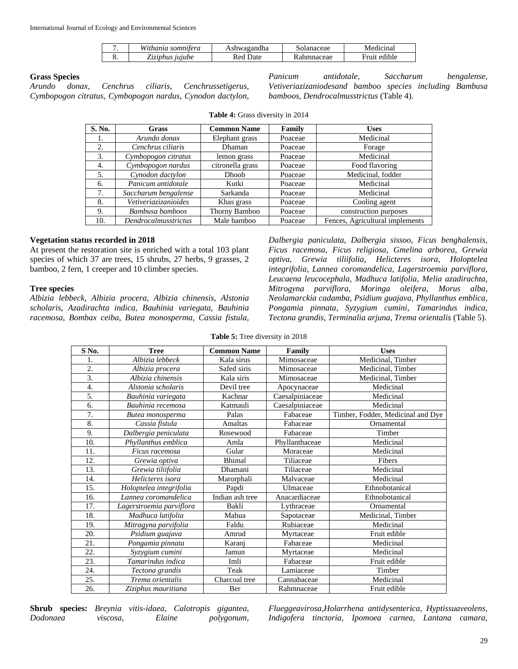|    | $TTI^*$ .<br>Withania somnitera | Ashwagandha  | solanaceae | Medicinal    |
|----|---------------------------------|--------------|------------|--------------|
| ບ. | <i>Liziphus jujube</i>          | Jate<br>-Red | Rahmnaceae | Fruit edible |

### **Grass Species**

*Arundo donax, Cenchrus ciliaris, Cenchrussetigerus, Cymbopogon citratus, Cymbopogon nardus, Cynodon dactylon,* 

*Panicum antidotale, Saccharum bengalense, Vetiveriazizaniodesand bamboo species including Bambusa bamboos, Dendrocalmusstrictus* (Table 4).

| S. No. | Grass                | <b>Common Name</b> | Family  | <b>Uses</b>                     |
|--------|----------------------|--------------------|---------|---------------------------------|
| ı.     | Arundo donax         | Elephant grass     | Poaceae | Medicinal                       |
| 2.     | Cenchrus ciliaris    | Dhaman             | Poaceae | Forage                          |
| 3.     | Cymbopogon citratus  | lemon grass        | Poaceae | Medicinal                       |
| 4.     | Cymbopogon nardus    | citronella grass   | Poaceae | Food flavoring                  |
| 5.     | Cynodon dactylon     | Dhoob              | Poaceae | Medicinal, fodder               |
| 6.     | Panicum antidotale   | Kutki              | Poaceae | Medicinal                       |
| 7.     | Saccharum bengalense | Sarkanda           | Poaceae | Medicinal                       |
| 8.     | Vetiveriazizanioides | Khas grass         | Poaceae | Cooling agent                   |
| 9.     | Bambusa bamboos      | Thorny Bamboo      | Poaceae | construction purposes           |
| 10.    | Dendrocalmusstrictus | Male bamboo        | Poaceae | Fences, Agricultural implements |

**Table 4:** Grass diversity in 2014

# **Vegetation status recorded in 2018**

At present the restoration site is enriched with a total 103 plant species of which 37 are trees, 15 shrubs, 27 herbs, 9 grasses, 2 bamboo, 2 fern, 1 creeper and 10 climber species.

# **Tree species**

*Albizia lebbeck, Albizia procera, Albizia chinensis, Alstonia scholaris, Azadirachta indica, Bauhinia variegata, Bauhinia racemosa, Bombax ceiba, Butea monosperma, Cassia fistula,* 

*Dalbergia paniculata, Dalbergia sissoo, Ficus benghalensis, Ficus racemosa, Ficus religiosa, Gmelina arborea, Grewia optiva, Grewia tiliifolia, Helicteres isora, Holoptelea integrifolia, Lannea coromandelica, Lagerstroemia parviflora, Leucaena leucocephala, Madhuca latifolia, Melia azadirachta, Mitrogyna parviflora, Moringa oleifera, Morus alba, Neolamarckia cadamba, Psidium guajava, Phyllanthus emblica, Pongamia pinnata, Syzygium cumini, Tamarindus indica, Tectona grandis, Terminalia arjuna, Trema orientalis* (Table 5).

| S No.             | <b>Tree</b>              | <b>Common Name</b> | Family          | <b>Uses</b>                       |
|-------------------|--------------------------|--------------------|-----------------|-----------------------------------|
| 1.                | Albizia lebbeck          | Kala sirus         | Mimosaceae      | Medicinal, Timber                 |
| 2.                | Albizia procera          | Safed siris        | Mimosaceae      | Medicinal, Timber                 |
| 3.                | Albizia chinensis        | Kala siris         | Mimosaceae      | Medicinal, Timber                 |
| 4.                | Alstonia scholaris       | Devil tree         | Apocynaceae     | Medicinal                         |
| 5.                | Bauhinia variegata       | Kachnar            | Caesalpiniaceae | Medicinal                         |
| 6.                | Bauhinia recemosa        | Katmauli           | Caesalpiniaceae | Medicinal                         |
| 7.                | Butea monosperma         | Palas              | Fabaceae        | Timber, Fodder, Medicinal and Dye |
| 8.                | Cassia fistula           | Amaltas            | Fabaceae        | Ornamental                        |
| 9.                | Dalbergia peniculata     | Rosewood           | Fabaceae        | Timber                            |
| 10.               | Phyllanthus emblica      | Amla               | Phyllanthaceae  | Medicinal                         |
| 11.               | Ficus racemosa           | Gular              | Moraceae        | Medicinal                         |
| 12.               | Grewia optiva            | Bhimal             | Tiliaceae       | Fibers                            |
| 13.               | Grewia tiliifolia        | Dhamani            | Tiliaceae       | Medicinal                         |
| 14.               | Helicteres isora         | Marorphali         | Malvaceae       | Medicinal                         |
| 15.               | Holoptelea integrifolia  | Papdi              | Ulmaceae        | Ethnobotanical                    |
| 16.               | Lannea coromandelica     | Indian ash tree    | Anacardiaceae   | Ethnobotanical                    |
| 17.               | Lagerstroemia parviflora | Bakli              | Lythraceae      | Ornamental                        |
| 18.               | Madhuca latifolia        | Mahua              | Sapotaceae      | Medicinal, Timber                 |
| 19.               | Mitragyna parvifolia     | Faldu              | Rubiaceae       | Medicinal                         |
| 20.               | Psidium guajava          | Amrud              | Myrtaceae       | Fruit edible                      |
| 21.               | Pongamia pinnata         | Karanj             | Fabaceae        | Medicinal                         |
| $\overline{22}$ . | Syzygium cumini          | Jamun              | Myrtaceae       | Medicinal                         |
| 23.               | Tamarindus indica        | Imli               | Fabaceae        | Fruit edible                      |
| 24.               | Tectona grandis          | Teak               | Lamiaceae       | Timber                            |
| 25.               | Trema orientalis         | Charcoal tree      | Cannabaceae     | Medicinal                         |
| 26.               | Ziziphus mauritiana      | Ber                | Rahmnaceae      | Fruit edible                      |

**Table 5:** Tree diversity in 2018

**Shrub species:** *Breynia vitis-idaea, Calotropis gigantea, Dodonaea viscosa, Elaine polygonum,* 

*Flueggeavirosa,Holarrhena antidysenterica, Hyptissuaveolens, Indigofera tinctoria, Ipomoea carnea, Lantana camara,*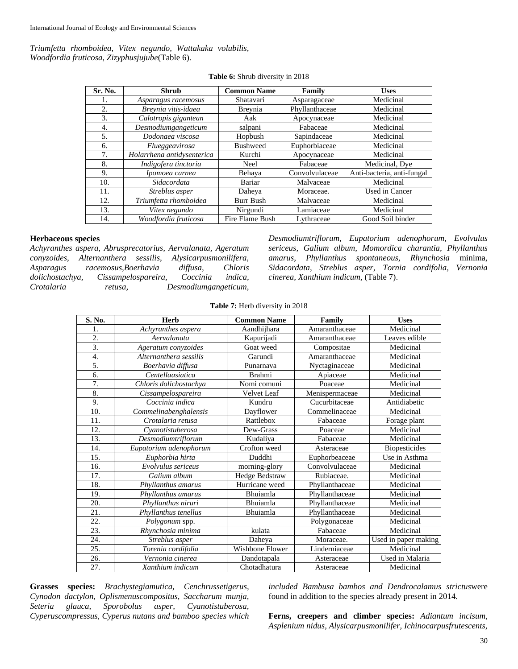*Triumfetta rhomboidea, Vitex negundo, Wattakaka volubilis, Woodfordia fruticosa, Zizyphusjujube*(Table 6).

| Sr. No. | <b>Shrub</b>               | <b>Common Name</b> | Family         | <b>Uses</b>                |
|---------|----------------------------|--------------------|----------------|----------------------------|
| 1.      | Asparagus racemosus        | Shatavari          | Asparagaceae   | Medicinal                  |
| 2.      | Breynia vitis-idaea        | Breynia            | Phyllanthaceae | Medicinal                  |
| 3.      | Calotropis gigantean       | Aak                | Apocynaceae    | Medicinal                  |
| 4.      | Desmodiumgangeticum        | salpani            | Fabaceae       | Medicinal                  |
| 5.      | Dodonaea viscosa           | Hopbush            | Sapindaceae    | Medicinal                  |
| 6.      | Flueggeavirosa             | <b>Bushweed</b>    | Euphorbiaceae  | Medicinal                  |
| 7.      | Holarrhena antidysenterica | Kurchi             | Apocynaceae    | Medicinal                  |
| 8.      | Indigofera tinctoria       | <b>Neel</b>        | Fabaceae       | Medicinal, Dye             |
| 9.      | Ipomoea carnea             | Behaya             | Convolvulaceae | Anti-bacteria, anti-fungal |
| 10.     | Sidacordata                | Bariar             | Malvaceae      | Medicinal                  |
| 11.     | Streblus asper             | Daheya             | Moraceae.      | Used in Cancer             |
| 12.     | Triumfetta rhomboidea      | Burr Bush          | Malvaceae      | Medicinal                  |
| 13.     | Vitex negundo              | Nirgundi           | Lamiaceae      | Medicinal                  |
| 14.     | Woodfordia fruticosa       | Fire Flame Bush    | Lythraceae     | Good Soil binder           |

**Table 6:** Shrub diversity in 2018

#### **Herbaceous species**

*Achyranthes aspera, Abrusprecatorius, Aervalanata, Ageratum conyzoides, Alternanthera sessilis, Alysicarpusmonilifera, Asparagus racemosus,Boerhavia diffusa, Chloris dolichostachya, Cissampelospareira, Coccinia indica, Crotalaria retusa, Desmodiumgangeticum,* 

*Desmodiumtriflorum, Eupatorium adenophorum, Evolvulus sericeus, Galium album, Momordica charantia, Phyllanthus amarus, Phyllanthus spontaneous, Rhynchosia* minima, *Sidacordata, Streblus asper, Tornia cordifolia, Vernonia cinerea, Xanthium indicum,* (Table 7).

|  |  | Table 7: Herb diversity in 2018 |  |  |  |
|--|--|---------------------------------|--|--|--|
|--|--|---------------------------------|--|--|--|

| S. No.           | <b>Herb</b>                             | <b>Common Name</b> | Family                            | <b>Uses</b>          |
|------------------|-----------------------------------------|--------------------|-----------------------------------|----------------------|
| 1.               | Achyranthes aspera                      | Aandhijhara        | Amaranthaceae                     | Medicinal            |
| 2.               | Aervalanata                             | Kapurijadi         | Amaranthaceae                     | Leaves edible        |
| 3.               | Ageratum conyzoides                     | Goat weed          | Compositae                        | Medicinal            |
| $\overline{4}$ . | Alternanthera sessilis                  | Garundi            | Amaranthaceae                     | Medicinal            |
| 5.               | Boerhavia diffusa                       | Punarnava          | Nyctaginaceae                     | Medicinal            |
| 6.               | Centellaasiatica                        | <b>Brahmi</b>      | Apiaceae                          | Medicinal            |
| 7.               | Chloris dolichostachya                  | Nomi comuni        | Poaceae                           | Medicinal            |
| 8.               | Cissampelospareira                      | <b>Velvet</b> Leaf | Menispermaceae                    | Medicinal            |
| 9.               | Coccinia indica                         | Kundru             | Cucurbitaceae                     | Antidiabetic         |
| 10.              | $\overline{\it Commel}$ inabenghalensis | Dayflower          | $\overline{\text{Commelinaceae}}$ | Medicinal            |
| 11.              | Crotalaria retusa                       | Rattlebox          | Fabaceae                          | Forage plant         |
| 12.              | Cyanotistuberosa                        | Dew-Grass          | Poaceae                           | Medicinal            |
| 13.              | Desmodiumtriflorum                      | Kudaliya           | Fabaceae                          | Medicinal            |
| 14.              | Eupatorium adenophorum                  | Crofton weed       | Asteraceae                        | <b>Biopesticides</b> |
| 15.              | Euphorbia hirta                         | Duddhi             | Euphorbeaceae                     | Use in Asthma        |
| 16.              | Evolvulus sericeus                      | morning-glory      | Convolvulaceae                    | Medicinal            |
| 17.              | Galium album                            | Hedge Bedstraw     | Rubiaceae.                        | Medicinal            |
| 18.              | Phyllanthus amarus                      | Hurricane weed     | Phyllanthaceae                    | Medicinal            |
| 19.              | Phyllanthus amarus                      | Bhuiamla           | Phyllanthaceae                    | Medicinal            |
| 20.              | Phyllanthus niruri                      | Bhuiamla           | Phyllanthaceae                    | Medicinal            |
| 21.              | Phyllanthus tenellus                    | Bhuiamla           | Phyllanthaceae                    | Medicinal            |
| 22.              | Polygonum spp.                          |                    | Polygonaceae                      | Medicinal            |
| 23.              | Rhynchosia minima                       | kulata             | Fabaceae                          | Medicinal            |
| 24.              | Streblus asper                          | Daheya             | Moraceae.                         | Used in paper making |
| 25.              | Torenia cordifolia                      | Wishbone Flower    | Linderniaceae                     | Medicinal            |
| 26.              | Vernonia cinerea                        | Dandotapala        | Asteraceae                        | Used in Malaria      |
| 27.              | Xanthium indicum                        | Chotadhatura       | Asteraceae                        | Medicinal            |

**Grasses species:** *Brachystegiamutica, Cenchrussetigerus, Cynodon dactylon, Oplismenuscompositus, Saccharum munja, Seteria glauca, Sporobolus asper, Cyanotistuberosa, Cyperuscompressus, Cyperus nutans and bamboo species which*  *included Bambusa bambos and Dendrocalamus strictus*were found in addition to the species already present in 2014.

**Ferns, creepers and climber species:** *Adiantum incisum, Asplenium nidus, Alysicarpusmonilifer, Ichinocarpusfrutescents,*